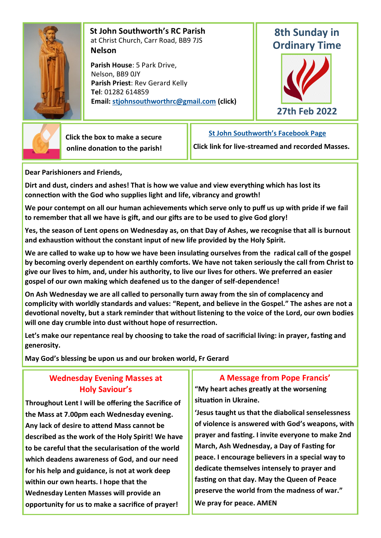

 **St John Southworth's RC Parish** at Christ Church, Carr Road, BB9 7JS **Nelson**

 **Parish House**: 5 Park Drive, Nelson, BB9 0JY **Parish Priest**: Rev Gerard Kelly **Tel**: 01282 614859 **Email: [stjohnsouthworthrc@gmail.com](mailto:stjohnsouthworth@gmail.com) (click)**

## **8th Sunday in Ordinary Time**





 **Click the box to make a secure online donation to the parish!** **[St John Southworth's Facebook Page](https://www.facebook.com/Parish-of-St-John-Southworth-in-Nelson-105718084323986)**

**Click link for live-streamed and recorded Masses.**

**Dear Parishioners and Friends,**

**Dirt and dust, cinders and ashes! That is how we value and view everything which has lost its connection with the God who supplies light and life, vibrancy and growth!** 

**We pour contempt on all our human achievements which serve only to puff us up with pride if we fail to remember that all we have is gift, and our gifts are to be used to give God glory!**

**Yes, the season of Lent opens on Wednesday as, on that Day of Ashes, we recognise that all is burnout and exhaustion without the constant input of new life provided by the Holy Spirit.**

**We are called to wake up to how we have been insulating ourselves from the radical call of the gospel by becoming overly dependent on earthly comforts. We have not taken seriously the call from Christ to give our lives to him, and, under his authority, to live our lives for others. We preferred an easier gospel of our own making which deafened us to the danger of self-dependence!**

**On Ash Wednesday we are all called to personally turn away from the sin of complacency and complicity with worldly standards and values: "Repent, and believe in the Gospel." The ashes are not a devotional novelty, but a stark reminder that without listening to the voice of the Lord, our own bodies will one day crumble into dust without hope of resurrection.**

**Let's make our repentance real by choosing to take the road of sacrificial living: in prayer, fasting and generosity.**

**May God's blessing be upon us and our broken world, Fr Gerard**

## **Wednesday Evening Masses at Holy Saviour's**

**Throughout Lent I will be offering the Sacrifice of the Mass at 7.00pm each Wednesday evening. Any lack of desire to attend Mass cannot be described as the work of the Holy Spirit! We have to be careful that the secularisation of the world which deadens awareness of God, and our need for his help and guidance, is not at work deep within our own hearts. I hope that the Wednesday Lenten Masses will provide an opportunity for us to make a sacrifice of prayer!** 

## **A Message from Pope Francis'**

**"My heart aches greatly at the worsening situation in Ukraine.**

**'Jesus taught us that the diabolical senselessness of violence is answered with God's weapons, with prayer and fasting. I invite everyone to make 2nd March, Ash Wednesday, a Day of Fasting for peace. I encourage believers in a special way to dedicate themselves intensely to prayer and fasting on that day. May the Queen of Peace preserve the world from the madness of war." We pray for peace. AMEN**